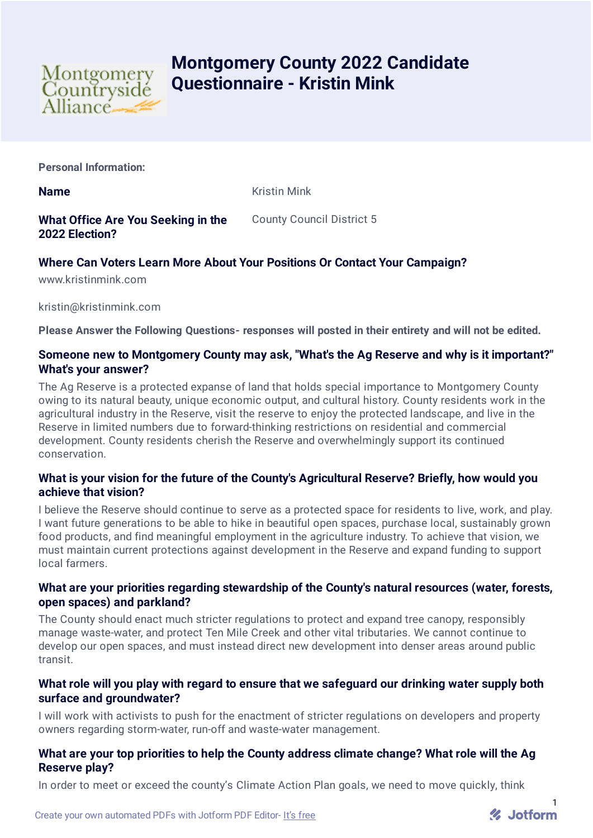

# **Montgomery County 2022 Candidate Questionnaire - Kristin Mink**

**Personal Information:**

**Name** Kristin Mink

**What Office Are You Seeking in the 2022 Election?** County Council District 5

## **Where Can Voters Learn More About Your Positions Or Contact Your Campaign?**

www.kristinmink.com

kristin@kristinmink.com

**Please Answer the Following Questions- responses will posted in their entirety and will not be edited.**

#### **Someone new to Montgomery County may ask, "What's the Ag Reserve and why is it important?" What's your answer?**

The Ag Reserve is a protected expanse of land that holds special importance to Montgomery County owing to its natural beauty, unique economic output, and cultural history. County residents work in the agricultural industry in the Reserve, visit the reserve to enjoy the protected landscape, and live in the Reserve in limited numbers due to forward-thinking restrictions on residential and commercial development. County residents cherish the Reserve and overwhelmingly support its continued conservation.

## **What is your vision for the future of the County's Agricultural Reserve? Briefly, how would you achieve that vision?**

I believe the Reserve should continue to serve as a protected space for residents to live, work, and play. I want future generations to be able to hike in beautiful open spaces, purchase local, sustainably grown food products, and find meaningful employment in the agriculture industry. To achieve that vision, we must maintain current protections against development in the Reserve and expand funding to support local farmers.

## **What are your priorities regarding stewardship of the County's natural resources (water, forests, open spaces) and parkland?**

The County should enact much stricter regulations to protect and expand tree canopy, responsibly manage waste-water, and protect Ten Mile Creek and other vital tributaries. We cannot continue to develop our open spaces, and must instead direct new development into denser areas around public transit.

## **What role will you play with regard to ensure that we safeguard our drinking water supply both surface and groundwater?**

I will work with activists to push for the enactment of stricter regulations on developers and property owners regarding storm-water, run-off and waste-water management.

## **What are your top priorities to help the County address climate change? What role will the Ag Reserve play?**

In order to meet or exceed the county's Climate Action Plan goals, we need to move quickly, think